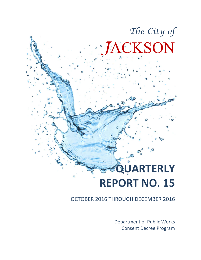# **QUARTERLY REPORT NO. 15**

OCTOBER 2016 THROUGH DECEMBER 2016

Department of Public Works Consent Decree Program

*The City of*

*J*ACKSON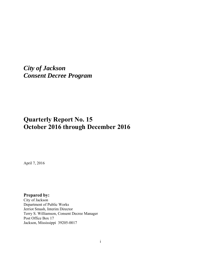*City of Jackson Consent Decree Program*

## **Quarterly Report No. 15 October 2016 through December 2016**

April 7, 2016

**Prepared by:** 

City of Jackson Department of Public Works Jerriot Smash, Interim Director Terry S. Williamson, Consent Decree Manager Post Office Box 17 Jackson, Mississippi 39205-0017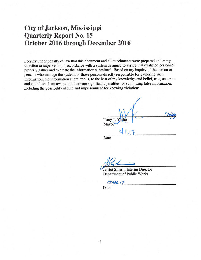## City of Jackson, Mississippi **Quarterly Report No. 15** October 2016 through December 2016

I certify under penalty of law that this document and all attachments were prepared under my direction or supervision in accordance with a system designed to assure that qualified personnel properly gather and evaluate the information submitted. Based on my inquiry of the person or persons who manage the system, or those persons directly responsible for gathering such information, the information submitted is, to the best of my knowledge and belief, true, accurate and complete. I am aware that there are significant penalties for submitting false information, including the possibility of fine and imprisonment for knowing violations.

| Tony T. Yarber<br>Mayor |  |
|-------------------------|--|
| -                       |  |

Date

Jerriot Smash, Interim Director Department of Public Works

*OT.APR.17* 

Date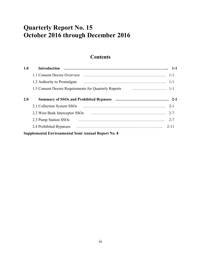# **Quarterly Report No. 15 October 2016 through December 2016**

## **Contents**

| 1.0 |                                                                                                                                                                                                                                     |          |
|-----|-------------------------------------------------------------------------------------------------------------------------------------------------------------------------------------------------------------------------------------|----------|
|     |                                                                                                                                                                                                                                     |          |
|     |                                                                                                                                                                                                                                     |          |
|     |                                                                                                                                                                                                                                     |          |
| 2.0 |                                                                                                                                                                                                                                     |          |
|     |                                                                                                                                                                                                                                     | $2 - 1$  |
|     | 2.2 West Bank Interceptor SSOs <i>manufacture contained a vertical</i> and the contained a vertical vertical vertical vertical vertical vertical vertical vertical vertical vertical vertical vertical vertical vertical vertical v | $2 - 7$  |
|     | 2.3 Pump Station SSOs                                                                                                                                                                                                               | $2 - 7$  |
|     | 2.4 Prohibited Bypasses                                                                                                                                                                                                             | $2 - 11$ |
|     | Supplemental Environmental Semi Annual Report No. 8                                                                                                                                                                                 |          |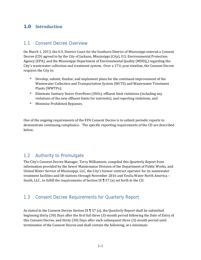#### **1.0 Introduction**

#### 1.1 Consent Decree Overview

On March 1, 2013, the U.S. District Court for the Southern District of Mississippi entered a Consent Decree (CD) agreed to by the City of Jackson, Mississippi (City), U.S. Environmental Protection Agency (EPA), and the Mississippi Department of Environmental Quality (MDEQ,) regarding the City's wastewater collection and treatment system. Over a  $17\frac{1}{2}$  year timeline, the Consent Decree requires the City to:

- Develop, submit, finalize, and implement plans for the continued improvement of the Wastewater Collection and Transportation System (WCTS) and Wastewater Treatment Plants (WWTPs);
- **Eliminate Sanitary Sewer Overflows (SSOs), effluent limit violations (including any** violations of the new effluent limits for nutrients), and reporting violations, and
- **Minimize Prohibited Bypasses.**

One of the ongoing requirements of the EPA Consent Decree is to submit periodic reports to demonstrate continuing compliance. The specific reporting requirements of the CD are described below. 

#### 1.2 Authority to Promulgate

The City's Consent Decree Manager, Terry Williamson, compiled this Quarterly Report from information provided by the Sewer Maintenance Division of the Department of Public Works, and United Water Service of Mississippi, LLC, the City's former contract operator for its wastewater treatment facilities and lift stations through November 2016 and Veolia Water North America – South, LLC., to fulfill the requirements of Section IX  $\P$  57 (a) set forth in the CD.

#### 1.3 Consent Decree Requirements for Quarterly Report

As stated in the Consent Decree Section IX  $\P$  57 (a), the Quarterly Report shall be submitted beginning thirty (30) Days after the first full three (3)-month period following the Date of Entry of this Consent Decree, and thirty (30) Days after each subsequent three (3)-month period until termination of the Consent Decree and shall contain the following, at a minimum: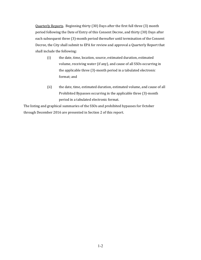Quarterly Reports. Beginning thirty (30) Days after the first full three (3) month period following the Date of Entry of this Consent Decree, and thirty (30) Days after each subsequent three (3)-month period thereafter until termination of the Consent Decree, the City shall submit to EPA for review and approval a Quarterly Report that shall include the following:

- (i) the date, time, location, source, estimated duration, estimated volume, receiving water (if any), and cause of all SSOs occurring in the applicable three (3)-month period in a tabulated electronic format; and
- (ii) the date, time, estimated duration, estimated volume, and cause of all Prohibited Bypasses occurring in the applicable three (3)-month period in a tabulated electronic format.

The listing and graphical summaries of the SSOs and prohibited bypasses for October through December 2016 are presented in Section 2 of this report.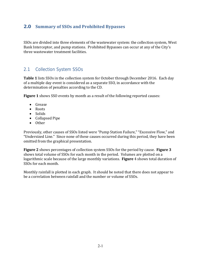#### **2.0 Summary of SSOs and Prohibited Bypasses**

SSOs are divided into three elements of the wastewater system: the collection system, West Bank Interceptor, and pump stations. Prohibited Bypasses can occur at any of the City's three wastewater treatment facilities.

#### 2.1 Collection System SSOs

**Table** 1 lists SSOs in the collection system for October through December 2016. Each day of a multiple day event is considered as a separate SSO, in accordance with the determination of penalties according to the CD.

**Figure 1** shows SSO events by month as a result of the following reported causes:

- Grease
- Roots
- Solids
- Collapsed Pipe
- Other

Previously, other causes of SSOs listed were "Pump Station Failure," "Excessive Flow," and "Undersized Line." Since none of these causes occurred during this period, they have been omitted from the graphical presentation.

**Figure** 2 shows percentages of collection system SSOs for the period by cause. **Figure** 3 shows total volume of SSOs for each month in the period. Volumes are plotted on a logarithmic scale because of the large monthly variations. **Figure** 4 shows total duration of SSOs for each month.

Monthly rainfall is plotted in each graph. It should be noted that there does not appear to be a correlation between rainfall and the number or volume of SSOs.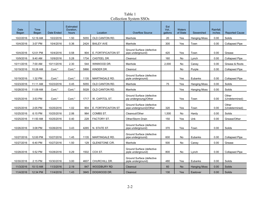Table 1 Collection System SSOs

| <b>Date</b><br>Began | Time<br>Began | Date Ended | Estimated<br>Duration,<br>hours | Location |                       | <b>Overflow Source</b>                               | Est<br>Vol.,<br>gallons | <b>Waters</b><br>of State | Sewershed           | Rainfall.<br>inches | <b>Reported Cause</b>   |
|----------------------|---------------|------------|---------------------------------|----------|-----------------------|------------------------------------------------------|-------------------------|---------------------------|---------------------|---------------------|-------------------------|
| 10/2/2016            | 12:19 AM      | 10/2/2016  | 1.50                            | 5055     | OLD CANTON RD.        | Manhole                                              | 20                      | Yes<br>Hanging Moss       |                     | 0.00                | Solids                  |
| 10/4/2016            | 3:07 PM       | 10/4/2016  | 0.36                            | 2424     | <b>BAILEY AVE</b>     | Manhole                                              | 300                     | Yes                       | Town                | 0.00                | <b>Collapsed Pipe</b>   |
| 10/4/2016            | 12:01 PM      | 10/4/2016  | 0.58                            | 904      | E. FORTIFICAITON ST   | Ground Surface (defective<br>pipe underground)       | 420                     | Yes                       | Town                | 0.00                | Grease                  |
| 10/9/2016            | 9:40 AM       | 10/9/2016  | 5.28                            | 1734     | CASTEEL DR.           | Cleanout                                             | 160                     | No                        | Lynch               | 0.00                | <b>Collapsed Pipe</b>   |
| 10/11/2016           | 7:00 AM       | 10/11/2016 | 2.30                            | 544      | WINWOOD DR.           | Manhole                                              | 2,000                   | No                        | Caney               | 0.00                | Grease & Roots          |
| 10/19/2016           | 10:28 AM      | Cont.*     | Cont.*                          | 5866     | KINDER DR.            | Cleanout                                             |                         | No                        | Purple              | 0.00                | <b>Collapsed Pipe</b>   |
| 10/19/2016           | 1:32 PM       | Cont.*     | Cont.*                          | 1135     | <b>MARTINGALE RD.</b> | Ground Surface (defective<br>piple underground)      |                         | Yes                       | Eubanks             | 0.00                | <b>Collapsed Pipe</b>   |
| 10/23/2016           | 11:11 AM      | 10/23/2016 | 0.45                            | 5055     | OLD CANTON RD.        | Manhole                                              | 75                      | Yes                       | Hanging Moss        | 0.00                | Soilds                  |
| 10/28/2016           | 11:09 AM      | Cont.*     | Cont.*                          | 5028     | OLD CANTON RD.        | Manhole                                              |                         | Yes                       | Hanging Moss        | 0.00                | Soilds                  |
| 10/25/2016           | 3:53 PM       | Cont.*     | Cont.*                          | 1717     | W. CAPITOL ST.        | Ground Surface (defective<br>pip undergroung)/Other  |                         | Yes                       | Town                | 0.00                | Other<br>(Undetermined) |
| 10/25/2016           | 2:05 PM       | 10/25/2016 | 1.02                            | 904      | E. FORTIFICAITON ST   | Ground Surface (defective<br>pipe underground)/Other | 320                     | Yes                       | Town                | 0.00                | Other<br>(Undetermined) |
| 10/25/2016           | 6:15 PM       | 10/25/2016 | 2.06                            | 964      | COMBS ST.             | Cleanout/Other                                       | 1,500                   | No                        | Hardy               | 0.00                | Soilds                  |
| 10/25/2016           | 11:50 AM      | 10/25/2016 | 0.40                            | 228      | FACTORY ST.           | Other/Storm Drain                                    | 150                     | Yes                       | Unk                 | 0.00                | Grease/Other            |
| 10/26/2016           | 3:08 PM       | 10/26/2016 | 3.43                            | 4265     | N. STATE ST.          | Ground Surface (defective<br>pipe underground)       | 370                     | Yes                       | Town                | 0.00                | Soilds                  |
| 10/27/2016           | 12:00 PM      | 10/27/2016 | 1.45                            | 1135     | <b>MARTINGALE RD.</b> | Ground Surface (defective<br>pipe underground)       | 600                     | No                        | Eubanks             | 0.00                | <b>Collapsed Pipe</b>   |
| 10/27/2016           | 6:40 PM       | 10/27/2016 | 1.50                            | 129      | <b>GLENSTONE CIR.</b> | Manhole                                              | 500                     | No                        | Caney               | 0.00                | Grease                  |
| 10/28/2016           | 5:52 PM       | 10/28/2016 | 0.29                            | 1502     | COX ST.               | Ground Surface (defective<br>piple underground)      | 800                     | No                        | Lynch               | 0.00                | <b>Collapsed Pipe</b>   |
| 10/30/2016           | 2:15 PM       | 10/30/2016 | 3.00                            | 4607     | CHURCHILL DR.         | Ground Surface (defective<br>piple underground)      | 480                     | Yes                       | Eubanks             | 0.00                | Soilds                  |
| 11/3/2016            | 10:13 AM      | 11/3/2016  | 2.19                            | 847      | <b>WOODBURY RD</b>    | Cleanout                                             | 60                      | <b>No</b>                 | <b>Hanging Moss</b> | 0.00                | <b>Soilds</b>           |
| 11/4/2016            | 12:34 PM      | 11/4/2016  | 1.43                            | 3845     | DOGWOOD DR.           | Cleanout                                             | 130                     | Yes                       | Eastover            | 0.00                | Soilds                  |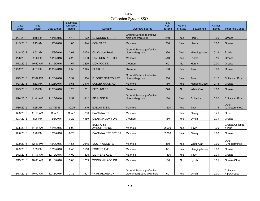Table 1 Collection System SSOs

| <b>Date</b><br>Began | Time<br>Began | Date Ended | <b>Estimated</b><br>Duration,<br>hours | Location |                                  | <b>Overflow Source</b>                                 | Est<br>Vol.,<br>dallons | <b>Waters</b><br>of State | Sewershed           | Rainfall.<br>inches | <b>Reported Cause</b>     |
|----------------------|---------------|------------|----------------------------------------|----------|----------------------------------|--------------------------------------------------------|-------------------------|---------------------------|---------------------|---------------------|---------------------------|
| 11/4/2016            | 4:45 PM       | 11/4/2016  | 1.15                                   | 172      | E. WOODCREST DR.                 | Ground Surface (defective<br>piple underground)        | 210                     | Yes                       | Hardy               | 0.00                | Grease                    |
| 11/5/2016            | 9:13 AM       | 11/5/2016  | 1.05                                   | 844      | COMBS ST.                        | Manhole                                                | 260                     | Yes                       | Hardy               | 0.00                | Grease                    |
| 11/8/2017            | 9:52 AM       | 11/8/2016  | 2.01                                   | 5028     | <b>Old Canton Road</b>           | Ground Surface (defective<br>pipe underground)         | 360                     | Yes                       | <b>Hanging Moss</b> | 0.19                | <b>Solids</b>             |
| 11/8/2016            | 3:20 PM       | 11/8/2016  | 2.25                                   | 6130     | I-55 FRONTAGE RD.                | Manhole                                                | 540                     | Yes                       | Purple              | 0.19                | Grease                    |
| 11/12/2016           | 10:50 AM      | 11/12/2016 | 1.54                                   | 2250     | MONACO ST.                       | Cleanout                                               | 50                      | <b>No</b>                 | Hardy               | 0.00                | Grease                    |
| 11/22/2016           | 4:31 PM       | 11/22/2016 | 0.53                                   | 1645     | <b>BLAIR ST.</b>                 | Cleanout                                               | 160                     | Yes                       | Town                | 0.00                | Grease                    |
| 11/23/2016           | 12:02 PM      | 11/23/2016 | 3.52                                   | 904      | E. FORTIFICAITON ST              | Ground Surface (defective<br>pipe underground)         | 560                     | Yes                       | Town                | 0.15                | <b>Collapsed Pipe</b>     |
| 11/23/2016           | 5:32 PM       | 11/23/2016 | 0.53                                   | 2416     | CULLEYWOOD RD.                   | Manhole                                                | 160                     | Yes                       | <b>Hanging Moss</b> | 0.15                | Grease                    |
| 11/25/2016           | $1:25$ PM     | 11/25/2016 | 1.25                                   | 251      | PERKINS DR.                      | Cleanout                                               | 220                     | <b>No</b>                 | <b>White Oak</b>    | 0.00                | Grease                    |
| 11/26/2016           | 11:04 AM      | 11/26/2016 | 0.57                                   | 4612     | <b>BELMEDE PL.</b>               | Ground Surface (defective<br>pipe underground)         | 180                     | Yes                       | Eubanks             | 0.00                | <b>Collapsed Pipe</b>     |
| 11/30/2016           | 9:25 AM       | 12/1/2016  | 30.05                                  | 816      | <b>GALLATIN ST.</b>              | Manhole                                                | 1,500                   | Yes                       | Town                | 1.15                | Other<br>(Undetermined)   |
| 12/3/2016            | 11:13 AM      | Cont.*     | Cont.*                                 | 206      | <b>SAVANNA ST</b>                | Manhole                                                |                         | Yes                       | Caney               | 0.71                | Other                     |
| 12/3/2016            | 4:08 PM       | 12/3/2016  | 0.22                                   | 4459     | MEADOWMONT DR.                   | Cleanout                                               | 160                     | Yes                       | Lynch               | 0.71                | Grease                    |
| 12/5/2016            | 11:45 AM      | 12/5/2016  | 8.00                                   |          | <b>BOLING ST</b><br>/W.NORTHSIDE | Manhole                                                | 2.000                   | Yes                       | Town                | 1.29                | Grease/Collapse<br>d Pipe |
| 12/6/2016            | 9:20 PM       | 12/7/2016  | 8.25                                   |          | SAVANNA ST/EDDY ST               | Manhole                                                | 2,000                   | Yes                       | Caney               | 0.00                | Grease                    |
| 12/9/2016            | 12:43 PM      | 12/9/2016  | 1.55                                   | 2045     | SOUTHWOOD RD.                    | Manhole                                                | 380                     | Yes                       | White Oak           | 0.00                | Other<br>(Undetermined)   |
| 12/9/2016            | 2:39 PM       | 12/9/2016  | 0.45                                   | 1116     | FOREST AVE.                      | Manhole                                                | 80                      | Yes                       | Hanging Moss        | 0.00                | Grease                    |
| 12/12/2016           | 11:17 AM      | 12/12/2016 | 4.02                                   | 325      | MCTYERE AVE.                     | Manhole                                                | 1,500                   | Yes                       | Town                | 0.31                | Grease                    |
| 12/13/2016           | 10:00 AM      | 12/13/2016 | 3.00                                   | 1253     | WOOD VILLAGE DR.                 | Manhole                                                | 100                     | No                        | Lynch               | 0.01                | Grease/Other              |
| 12/13/2016           | 10:00 AM      | 12/13/2016 | 2.35                                   | 1521     | W. HIGHLAND DR.                  | Ground Surface (defective<br>pipe underground)/Manhole | 50                      | Yes                       | Lynch               | 0.00                | Collapsed<br>Pipe/Grease  |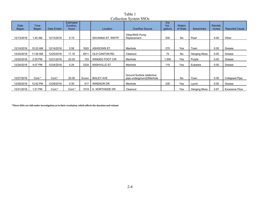|               | COLLECTION DAPPEND ON |            |                                        |       |                        |                                                        |                         |                           |              |                     |                       |
|---------------|-----------------------|------------|----------------------------------------|-------|------------------------|--------------------------------------------------------|-------------------------|---------------------------|--------------|---------------------|-----------------------|
| Date<br>Began | Time<br><b>Began</b>  | Date Ended | <b>Estimated</b><br>Duration,<br>hours |       | Location               | <b>Overflow Source</b>                                 | Est<br>Vol.,<br>gallons | <b>Waters</b><br>of State | Sewershed    | Rainfall,<br>inches | <b>Reported Cause</b> |
| 12/13/2016    | 1:45 AM               | 12/13/2016 | 0.15                                   |       | SAVANNA ST. WWTP       | Other/RAS Pump<br>Replacement                          | 200                     | No                        | Pearl        | 0.00                | Other                 |
| 12/14/2016    | 10:33 AM              | 12/14/2016 | 0.58                                   | 1620  | ASHDOWN ST.            | Manhole                                                | 270                     | Yes                       | Town         | 0.00                | Grease                |
| 12/20/2016    | 11:38 AM              | 12/20/2016 | 11.10                                  | 4911  | OLD CANTON RD.         | Cleanout                                               | 70                      | No                        | Hanging Moss | 0.00                | Grease                |
| 12/20/2016    | 2:35 PM               | 12/21/2016 | 23.25                                  | 153   | <b>WINGED FOOT CIR</b> | Manhole                                                | 1,500                   | Yes                       | Purple       | 0.00                | Grease                |
| 12/24/2016    | 4:07 PM               | 12/24/2016 | 0.24                                   | 3324  | <b>NASHVILLE ST</b>    | Manhole                                                | 110                     | Yes                       | Eubanks      | 0.00                | Grease                |
| 12/27/2016    | Cont.*                | Cont.*     | 25.00                                  | Exxon | <b>BAILEY AVE</b>      | Ground Surface (defective<br>pipe underground)/Manhole |                         | No                        | Town         | 0.00                | Collapsed Pipe        |
| 12/28/2016    | 12:52 PM              | 12/28/2016 | 0.30                                   | 417   | WINDSOR DR.            | Manhole                                                | 230                     | Yes                       | Lynch        | 0.00                | Grease                |
| 12/31/2016    | 1:21 PM               | Cont.*     | Cont.*                                 | 1519  | E. NORTHSIDE DR        | Cleanout                                               |                         | Yes                       | Hanging Moss | 0.67                | <b>Excessive Flow</b> |

Table 1 Collection System SSOs

**\*These SSOs are still under investigation as to their resolution, which affects the duration and volume**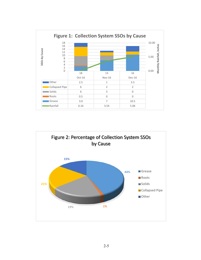

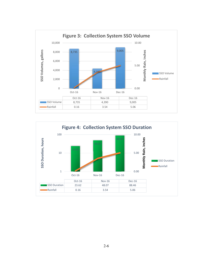

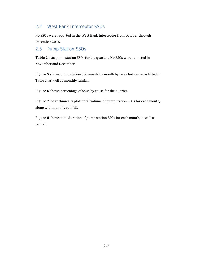#### 2.2 West Bank Interceptor SSOs

No SSOs were reported in the West Bank Interceptor from October through December 2016.

#### 2.3 Pump Station SSOs

**Table 2** lists pump station SSOs for the quarter. No SSOs were reported in November and December.

**Figure** 5 shows pump station SSO events by month by reported cause, as listed in Table 2, as well as monthly rainfall.

**Figure 6** shows percentage of SSOs by cause for the quarter.

**Figure** 7 logarithmically plots total volume of pump station SSOs for each month, along with monthly rainfall.

**Figure 8** shows total duration of pump station SSOs for each month, as well as rainfall.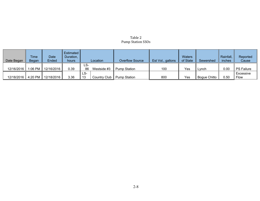#### Table 2 Pump Station SSOs

| Date Began | <b>Time</b><br>Began | Date<br>Ended         | <b>Estimated</b><br>Duration,<br>hours |           | Location        | <b>Overflow Source</b> | Est Vol., gallons | <b>Waters</b><br>of State | Sewershed    | Rainfall,<br>inches | Reported<br>Cause |
|------------|----------------------|-----------------------|----------------------------------------|-----------|-----------------|------------------------|-------------------|---------------------------|--------------|---------------------|-------------------|
| 12/16/2016 |                      | 1:06 PM   12/16/2016  | 0.39                                   | LS-<br>86 | Westside #3     | <b>Pump Station</b>    | 100               | Yes                       | Lynch        | 0.00                | <b>PS Failure</b> |
| 12/18/2016 |                      | 4:20 PM    12/18/2016 | 3.36                                   | LS-<br>13 | Country Club II | Pump Station           | 800               | Yes                       | Bogue Chitto | 0.50                | Excessive<br>Flow |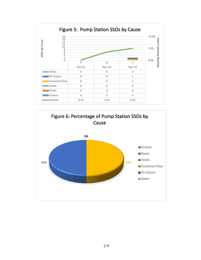

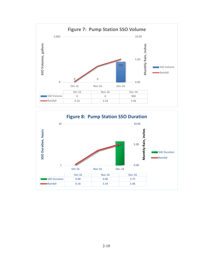

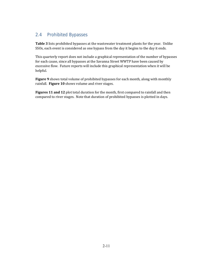### 2.4 Prohibited Bypasses

**Table** 3 lists prohibited bypasses at the wastewater treatment plants for the year. Unlike SSOs, each event is considered as one bypass from the day it begins to the day it ends.

This quarterly report does not include a graphical representation of the number of bypasses for each cause, since all bypasses at the Savanna Street WWTP have been caused by excessive flow. Future reports will include this graphical representation when it will be helpful. 

Figure 9 shows total volume of prohibited bypasses for each month, along with monthly rainfall. **Figure 10** shows volume and river stages.

**Figures 11 and 12** plot total duration for the month, first compared to rainfall and then compared to river stages. Note that duration of prohibited bypasses is plotted in days.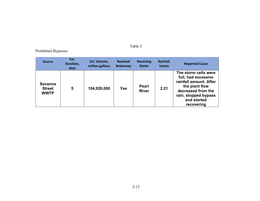#### Table 3

### Prohibited Bypasses

| <b>Source</b>                           | Est.<br>Duration,<br>days | Est. Volume,<br>million gallons | <b>Reached</b><br><b>Waterway</b> | <b>Receiving</b><br><b>Water</b> | Rainfall,<br>inches | <b>Reported Cause</b>                                                                                                                                              |
|-----------------------------------------|---------------------------|---------------------------------|-----------------------------------|----------------------------------|---------------------|--------------------------------------------------------------------------------------------------------------------------------------------------------------------|
| Savanna<br><b>Street</b><br><b>WWTP</b> | 5                         | 104,020,000                     | <b>Yes</b>                        | <b>Pearl</b><br><b>River</b>     | 2.21                | The storm cells were<br>full, had excessive<br>rainfall amount. After<br>the plant flow<br>decreased from the<br>rain, stopped bypass<br>and started<br>recovering |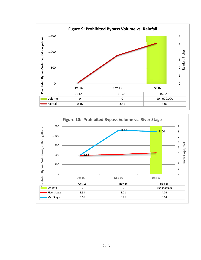